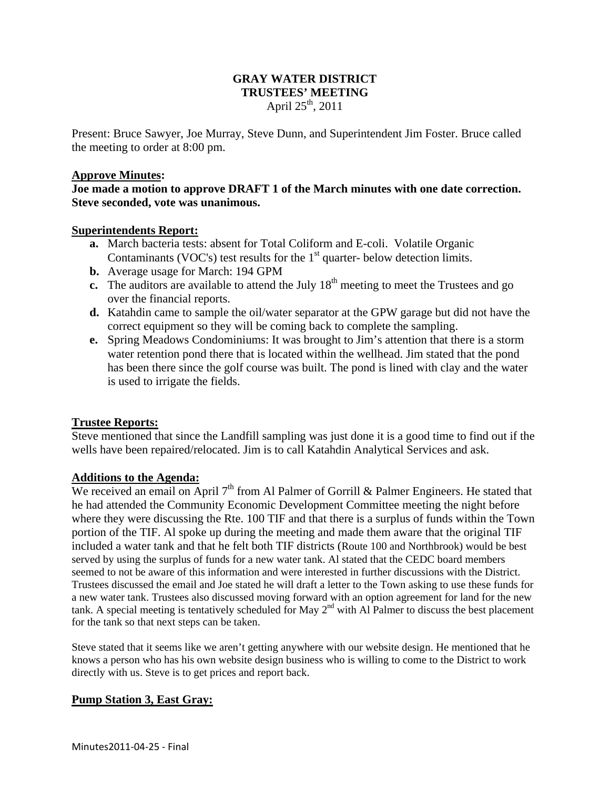# **GRAY WATER DISTRICT TRUSTEES' MEETING**  April  $25^{th}$ , 2011

Present: Bruce Sawyer, Joe Murray, Steve Dunn, and Superintendent Jim Foster. Bruce called the meeting to order at 8:00 pm.

#### **Approve Minutes:**

**Joe made a motion to approve DRAFT 1 of the March minutes with one date correction. Steve seconded, vote was unanimous.** 

### **Superintendents Report:**

- **a.** March bacteria tests: absent for Total Coliform and E-coli. Volatile Organic Contaminants (VOC's) test results for the  $1<sup>st</sup>$  quarter- below detection limits.
- **b.** Average usage for March: 194 GPM
- **c.** The auditors are available to attend the July 18<sup>th</sup> meeting to meet the Trustees and go over the financial reports.
- **d.** Katahdin came to sample the oil/water separator at the GPW garage but did not have the correct equipment so they will be coming back to complete the sampling.
- **e.** Spring Meadows Condominiums: It was brought to Jim's attention that there is a storm water retention pond there that is located within the wellhead. Jim stated that the pond has been there since the golf course was built. The pond is lined with clay and the water is used to irrigate the fields.

## **Trustee Reports:**

Steve mentioned that since the Landfill sampling was just done it is a good time to find out if the wells have been repaired/relocated. Jim is to call Katahdin Analytical Services and ask.

# **Additions to the Agenda:**

We received an email on April  $7<sup>th</sup>$  from Al Palmer of Gorrill & Palmer Engineers. He stated that he had attended the Community Economic Development Committee meeting the night before where they were discussing the Rte. 100 TIF and that there is a surplus of funds within the Town portion of the TIF. Al spoke up during the meeting and made them aware that the original TIF included a water tank and that he felt both TIF districts (Route 100 and Northbrook) would be best served by using the surplus of funds for a new water tank. Al stated that the CEDC board members seemed to not be aware of this information and were interested in further discussions with the District. Trustees discussed the email and Joe stated he will draft a letter to the Town asking to use these funds for a new water tank. Trustees also discussed moving forward with an option agreement for land for the new tank. A special meeting is tentatively scheduled for May  $2<sup>nd</sup>$  with Al Palmer to discuss the best placement for the tank so that next steps can be taken.

Steve stated that it seems like we aren't getting anywhere with our website design. He mentioned that he knows a person who has his own website design business who is willing to come to the District to work directly with us. Steve is to get prices and report back.

## **Pump Station 3, East Gray:**